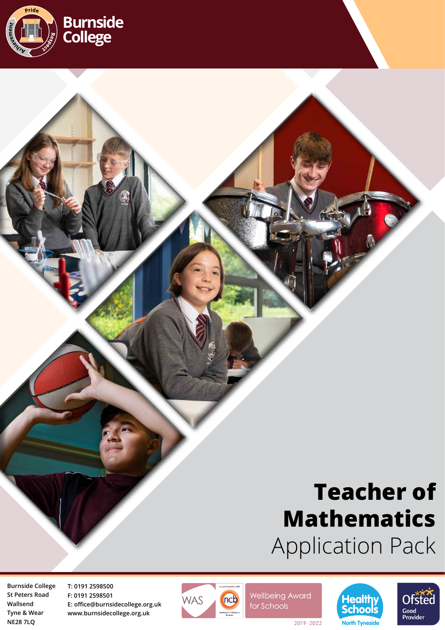

# **Teacher of Mathematics** Application Pack

**Burnside College St Peters Road Wallsend Tyne & Wear NE28 7LQ**

**T: 0191 2598500 F: 0191 2598501 E: office@burnsidecollege.org.uk www.burnsidecollege.org.uk**



**Wellbeing Award** for Schools





2019-2022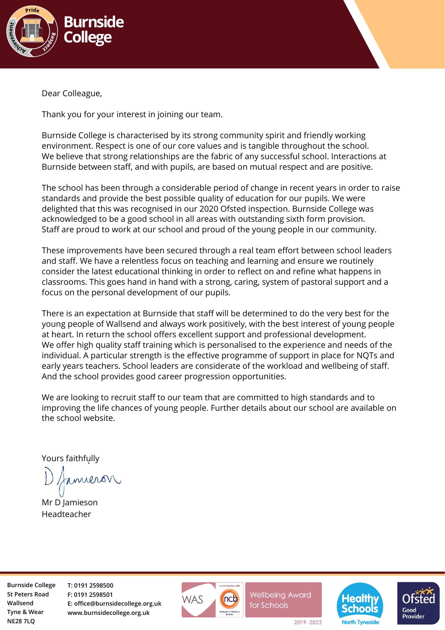

Dear Colleague,

Thank you for your interest in joining our team.

Burnside College is characterised by its strong community spirit and friendly working environment. Respect is one of our core values and is tangible throughout the school. We believe that strong relationships are the fabric of any successful school. Interactions at Burnside between staff, and with pupils, are based on mutual respect and are positive.

The school has been through a considerable period of change in recent years in order to raise standards and provide the best possible quality of education for our pupils. We were delighted that this was recognised in our 2020 Ofsted inspection. Burnside College was acknowledged to be a good school in all areas with outstanding sixth form provision. Staff are proud to work at our school and proud of the young people in our community.

These improvements have been secured through a real team effort between school leaders and staff. We have a relentless focus on teaching and learning and ensure we routinely consider the latest educational thinking in order to reflect on and refine what happens in classrooms. This goes hand in hand with a strong, caring, system of pastoral support and a focus on the personal development of our pupils.

There is an expectation at Burnside that staff will be determined to do the very best for the young people of Wallsend and always work positively, with the best interest of young people at heart. In return the school offers excellent support and professional development. We offer high quality staff training which is personalised to the experience and needs of the individual. A particular strength is the effective programme of support in place for NQTs and early years teachers. School leaders are considerate of the workload and wellbeing of staff. And the school provides good career progression opportunities.

We are looking to recruit staff to our team that are committed to high standards and to improving the life chances of young people. Further details about our school are available on the school website.

Yours faithfully

naveron

Mr D Jamieson Headteacher

**Burnside College St Peters Road Wallsend Tyne & Wear NE28 7LQ**

**T: 0191 2598500 F: 0191 2598501 E: office@burnsidecollege.org.uk www.burnsidecollege.org.uk**



**Wellbeing Award** for Schools





2019-2022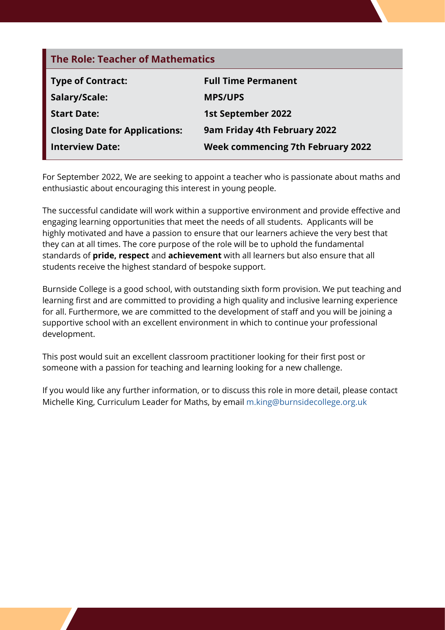| <b>The Role: Teacher of Mathematics</b> |                                          |  |
|-----------------------------------------|------------------------------------------|--|
| <b>Type of Contract:</b>                | <b>Full Time Permanent</b>               |  |
| Salary/Scale:                           | <b>MPS/UPS</b>                           |  |
| <b>Start Date:</b>                      | <b>1st September 2022</b>                |  |
| <b>Closing Date for Applications:</b>   | 9am Friday 4th February 2022             |  |
| <b>Interview Date:</b>                  | <b>Week commencing 7th February 2022</b> |  |

For September 2022, We are seeking to appoint a teacher who is passionate about maths and enthusiastic about encouraging this interest in young people.

The successful candidate will work within a supportive environment and provide effective and engaging learning opportunities that meet the needs of all students. Applicants will be highly motivated and have a passion to ensure that our learners achieve the very best that they can at all times. The core purpose of the role will be to uphold the fundamental standards of **pride, respect** and **achievement** with all learners but also ensure that all students receive the highest standard of bespoke support.

Burnside College is a good school, with outstanding sixth form provision. We put teaching and learning first and are committed to providing a high quality and inclusive learning experience for all. Furthermore, we are committed to the development of staff and you will be joining a supportive school with an excellent environment in which to continue your professional development.

This post would suit an excellent classroom practitioner looking for their first post or someone with a passion for teaching and learning looking for a new challenge.

If you would like any further information, or to discuss this role in more detail, please contact Michelle King, Curriculum Leader for Maths, by email [m.king@burnsidecollege.org.uk](mailto:m.king%40burnsidecollege.org.uk?subject=)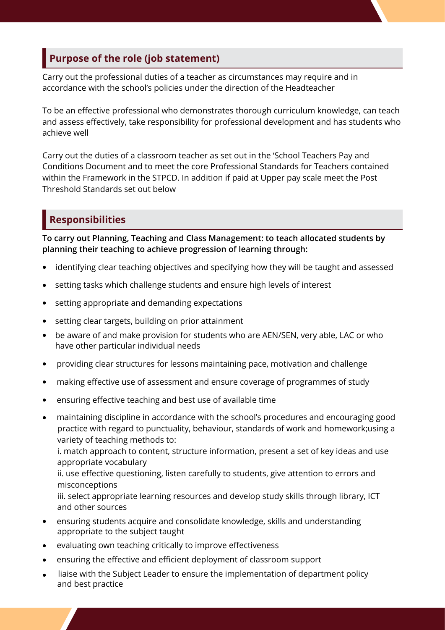#### **Purpose of the role (job statement)**

Carry out the professional duties of a teacher as circumstances may require and in accordance with the school's policies under the direction of the Headteacher

To be an effective professional who demonstrates thorough curriculum knowledge, can teach and assess effectively, take responsibility for professional development and has students who achieve well

Carry out the duties of a classroom teacher as set out in the 'School Teachers Pay and Conditions Document and to meet the core Professional Standards for Teachers contained within the Framework in the STPCD. In addition if paid at Upper pay scale meet the Post Threshold Standards set out below

# **Responsibilities**

**To carry out Planning, Teaching and Class Management: to teach allocated students by planning their teaching to achieve progression of learning through:**

- identifying clear teaching objectives and specifying how they will be taught and assessed
- setting tasks which challenge students and ensure high levels of interest
- setting appropriate and demanding expectations
- setting clear targets, building on prior attainment
- be aware of and make provision for students who are AEN/SEN, very able, LAC or who have other particular individual needs
- providing clear structures for lessons maintaining pace, motivation and challenge
- making effective use of assessment and ensure coverage of programmes of study
- **•** ensuring effective teaching and best use of available time
- maintaining discipline in accordance with the school's procedures and encouraging good practice with regard to punctuality, behaviour, standards of work and homework;using a variety of teaching methods to:

 i. match approach to content, structure information, present a set of key ideas and use appropriate vocabulary

ii. use effective questioning, listen carefully to students, give attention to errors and misconceptions

iii. select appropriate learning resources and develop study skills through library, ICT and other sources

- ensuring students acquire and consolidate knowledge, skills and understanding appropriate to the subject taught
- evaluating own teaching critically to improve effectiveness
- ensuring the effective and efficient deployment of classroom support
- liaise with the Subject Leader to ensure the implementation of department policy and best practice  $\bullet$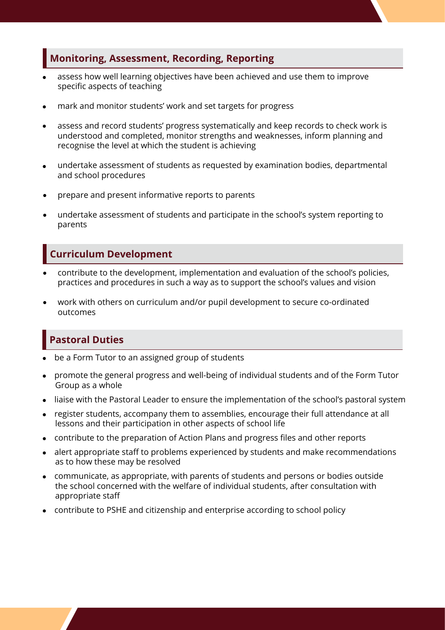#### **Monitoring, Assessment, Recording, Reporting**

- assess how well learning objectives have been achieved and use them to improve specific aspects of teaching  $\bullet$
- mark and monitor students' work and set targets for progress  $\bullet$
- assess and record students' progress systematically and keep records to check work is understood and completed, monitor strengths and weaknesses, inform planning and recognise the level at which the student is achieving  $\bullet$
- undertake assessment of students as requested by examination bodies, departmental and school procedures  $\bullet$
- prepare and present informative reports to parents  $\bullet$
- undertake assessment of students and participate in the school's system reporting to parents  $\bullet$

#### **Curriculum Development**

- contribute to the development, implementation and evaluation of the school's policies, practices and procedures in such a way as to support the school's values and vision  $\bullet$
- work with others on curriculum and/or pupil development to secure co-ordinated outcomes  $\bullet$

## **Pastoral Duties**

- be a Form Tutor to an assigned group of students
- promote the general progress and well-being of individual students and of the Form Tutor Group as a whole
- liaise with the Pastoral Leader to ensure the implementation of the school's pastoral system
- register students, accompany them to assemblies, encourage their full attendance at all lessons and their participation in other aspects of school life
- contribute to the preparation of Action Plans and progress files and other reports
- alert appropriate staff to problems experienced by students and make recommendations as to how these may be resolved
- communicate, as appropriate, with parents of students and persons or bodies outside the school concerned with the welfare of individual students, after consultation with appropriate staff
- contribute to PSHE and citizenship and enterprise according to school policy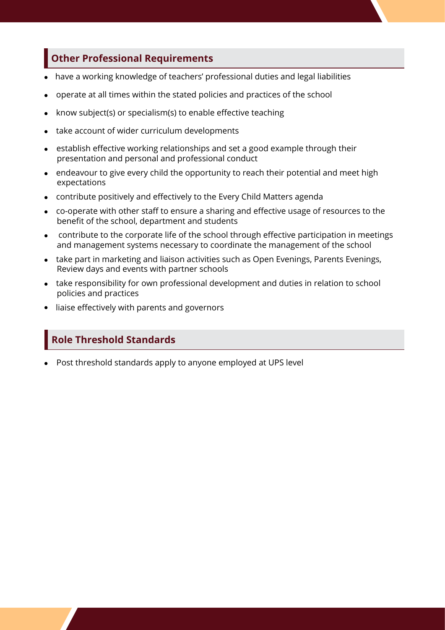## **Other Professional Requirements**

- <sup>l</sup>have a working knowledge of teachers' professional duties and legal liabilities  $\bullet$
- <sup>l</sup> operate at all times within the stated policies and practices of the school
- know subject(s) or specialism(s) to enable effective teaching
- take account of wider curriculum developments
- establish effective working relationships and set a good example through their presentation and personal and professional conduct
- endeavour to give every child the opportunity to reach their potential and meet high expectations
- contribute positively and effectively to the Every Child Matters agenda
- co-operate with other staff to ensure a sharing and effective usage of resources to the benefit of the school, department and students
- $\bullet$  contribute to the corporate life of the school through effective participation in meetings and management systems necessary to coordinate the management of the school
- take part in marketing and liaison activities such as Open Evenings, Parents Evenings, Review days and events with partner schools
- take responsibility for own professional development and duties in relation to school policies and practices
- liaise effectively with parents and governors

### **Role Threshold Standards**

l Post threshold standards apply to anyone employed at UPS level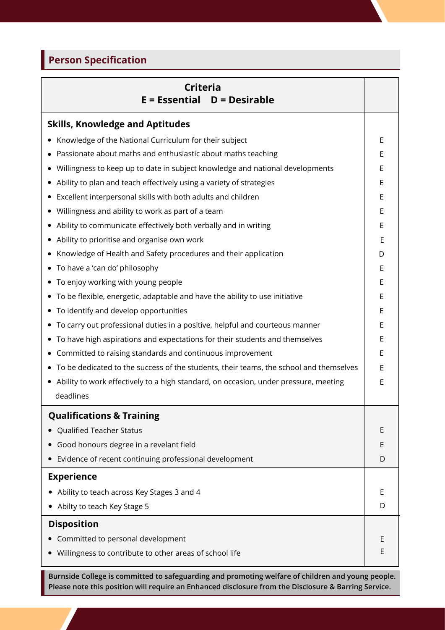# **Person Specification**

| <b>Criteria</b><br>$E = E$ ssential $D = Desirable$                                    |   |
|----------------------------------------------------------------------------------------|---|
| <b>Skills, Knowledge and Aptitudes</b>                                                 |   |
| Knowledge of the National Curriculum for their subject                                 |   |
| Passionate about maths and enthusiastic about maths teaching                           |   |
| Willingness to keep up to date in subject knowledge and national developments          |   |
| Ability to plan and teach effectively using a variety of strategies                    |   |
| Excellent interpersonal skills with both adults and children                           |   |
| Willingness and ability to work as part of a team                                      |   |
| Ability to communicate effectively both verbally and in writing                        |   |
| Ability to prioritise and organise own work                                            |   |
| Knowledge of Health and Safety procedures and their application                        |   |
| To have a 'can do' philosophy<br>$\bullet$                                             |   |
| To enjoy working with young people                                                     |   |
| • To be flexible, energetic, adaptable and have the ability to use initiative          |   |
| To identify and develop opportunities                                                  |   |
| To carry out professional duties in a positive, helpful and courteous manner           |   |
| To have high aspirations and expectations for their students and themselves            |   |
| Committed to raising standards and continuous improvement                              |   |
| To be dedicated to the success of the students, their teams, the school and themselves |   |
| • Ability to work effectively to a high standard, on occasion, under pressure, meeting |   |
| deadlines                                                                              |   |
| <b>Qualifications &amp; Training</b>                                                   |   |
| Qualified Teacher Status                                                               | Ε |
| Good honours degree in a revelant field                                                | E |
| Evidence of recent continuing professional development                                 | D |
| <b>Experience</b>                                                                      |   |
| Ability to teach across Key Stages 3 and 4                                             |   |
| Abilty to teach Key Stage 5                                                            | D |
| <b>Disposition</b>                                                                     |   |
| Committed to personal development                                                      |   |
| Willingness to contribute to other areas of school life                                |   |

**Burnside College is committed to safeguarding and promoting welfare of children and young people. Please note this position will require an Enhanced disclosure from the Disclosure & Barring Service.**